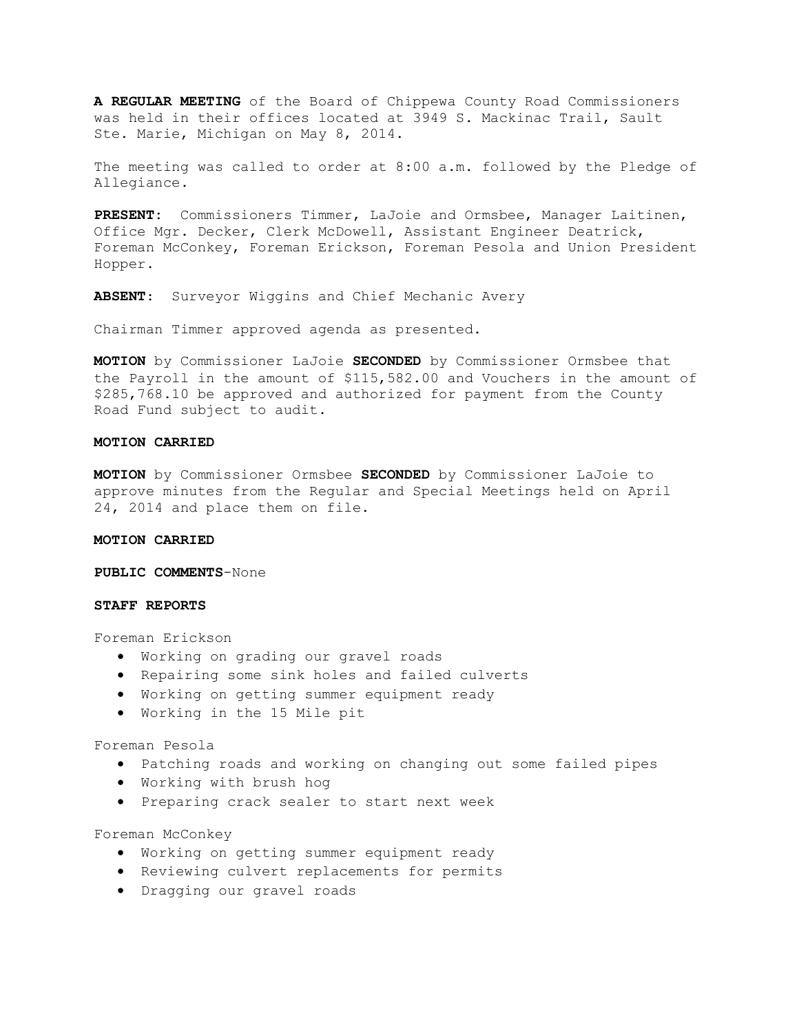**A REGULAR MEETING** of the Board of Chippewa County Road Commissioners was held in their offices located at 3949 S. Mackinac Trail, Sault Ste. Marie, Michigan on May 8, 2014.

The meeting was called to order at 8:00 a.m. followed by the Pledge of Allegiance.

**PRESENT:** Commissioners Timmer, LaJoie and Ormsbee, Manager Laitinen, Office Mgr. Decker, Clerk McDowell, Assistant Engineer Deatrick, Foreman McConkey, Foreman Erickson, Foreman Pesola and Union President Hopper.

**ABSENT**: Surveyor Wiggins and Chief Mechanic Avery

Chairman Timmer approved agenda as presented.

**MOTION** by Commissioner LaJoie **SECONDED** by Commissioner Ormsbee that the Payroll in the amount of \$115,582.00 and Vouchers in the amount of \$285,768.10 be approved and authorized for payment from the County Road Fund subject to audit.

### **MOTION CARRIED**

**MOTION** by Commissioner Ormsbee **SECONDED** by Commissioner LaJoie to approve minutes from the Regular and Special Meetings held on April 24, 2014 and place them on file.

### **MOTION CARRIED**

**PUBLIC COMMENTS**-None

### **STAFF REPORTS**

Foreman Erickson

- · Working on grading our gravel roads
- · Repairing some sink holes and failed culverts
- · Working on getting summer equipment ready
- · Working in the 15 Mile pit

# Foreman Pesola

- · Patching roads and working on changing out some failed pipes
- · Working with brush hog
- · Preparing crack sealer to start next week

### Foreman McConkey

- · Working on getting summer equipment ready
- · Reviewing culvert replacements for permits
- · Dragging our gravel roads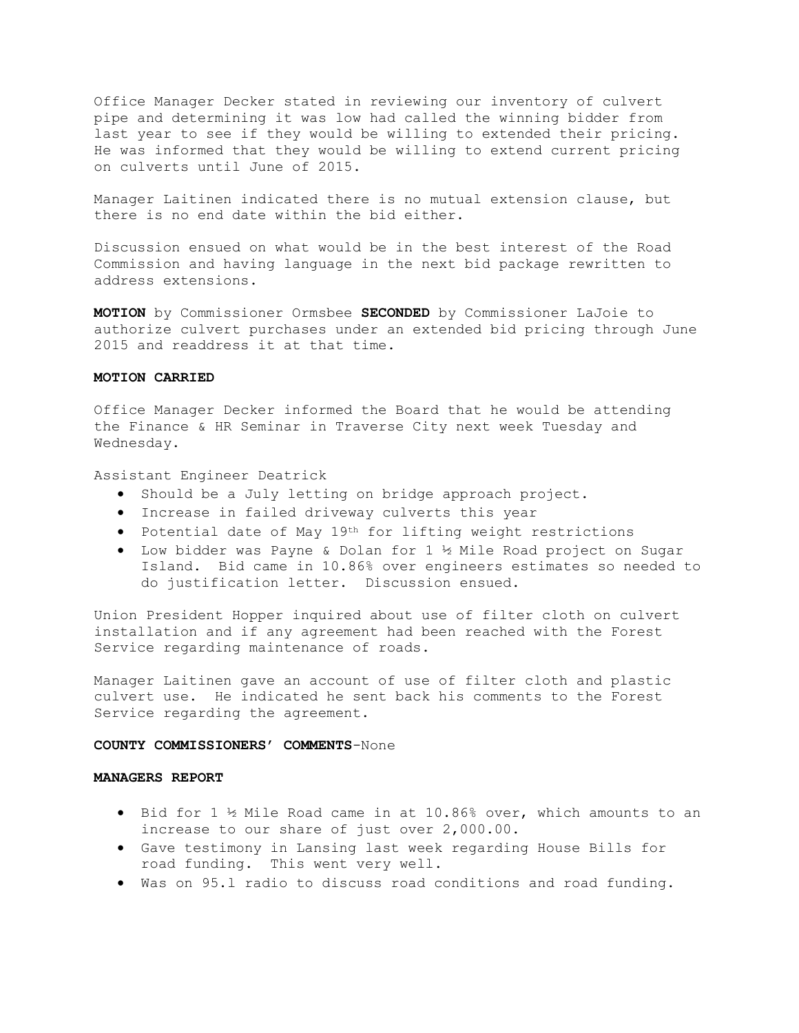Office Manager Decker stated in reviewing our inventory of culvert pipe and determining it was low had called the winning bidder from last year to see if they would be willing to extended their pricing. He was informed that they would be willing to extend current pricing on culverts until June of 2015.

Manager Laitinen indicated there is no mutual extension clause, but there is no end date within the bid either.

Discussion ensued on what would be in the best interest of the Road Commission and having language in the next bid package rewritten to address extensions.

**MOTION** by Commissioner Ormsbee **SECONDED** by Commissioner LaJoie to authorize culvert purchases under an extended bid pricing through June 2015 and readdress it at that time.

# **MOTION CARRIED**

Office Manager Decker informed the Board that he would be attending the Finance & HR Seminar in Traverse City next week Tuesday and Wednesday.

Assistant Engineer Deatrick

- · Should be a July letting on bridge approach project.
- · Increase in failed driveway culverts this year
- · Potential date of May 19th for lifting weight restrictions
- · Low bidder was Payne & Dolan for 1 ½ Mile Road project on Sugar Island. Bid came in 10.86% over engineers estimates so needed to do justification letter. Discussion ensued.

Union President Hopper inquired about use of filter cloth on culvert installation and if any agreement had been reached with the Forest Service regarding maintenance of roads.

Manager Laitinen gave an account of use of filter cloth and plastic culvert use. He indicated he sent back his comments to the Forest Service regarding the agreement.

## **COUNTY COMMISSIONERS' COMMENTS**-None

#### **MANAGERS REPORT**

- · Bid for 1 ½ Mile Road came in at 10.86% over, which amounts to an increase to our share of just over 2,000.00.
- · Gave testimony in Lansing last week regarding House Bills for road funding. This went very well.
- · Was on 95.l radio to discuss road conditions and road funding.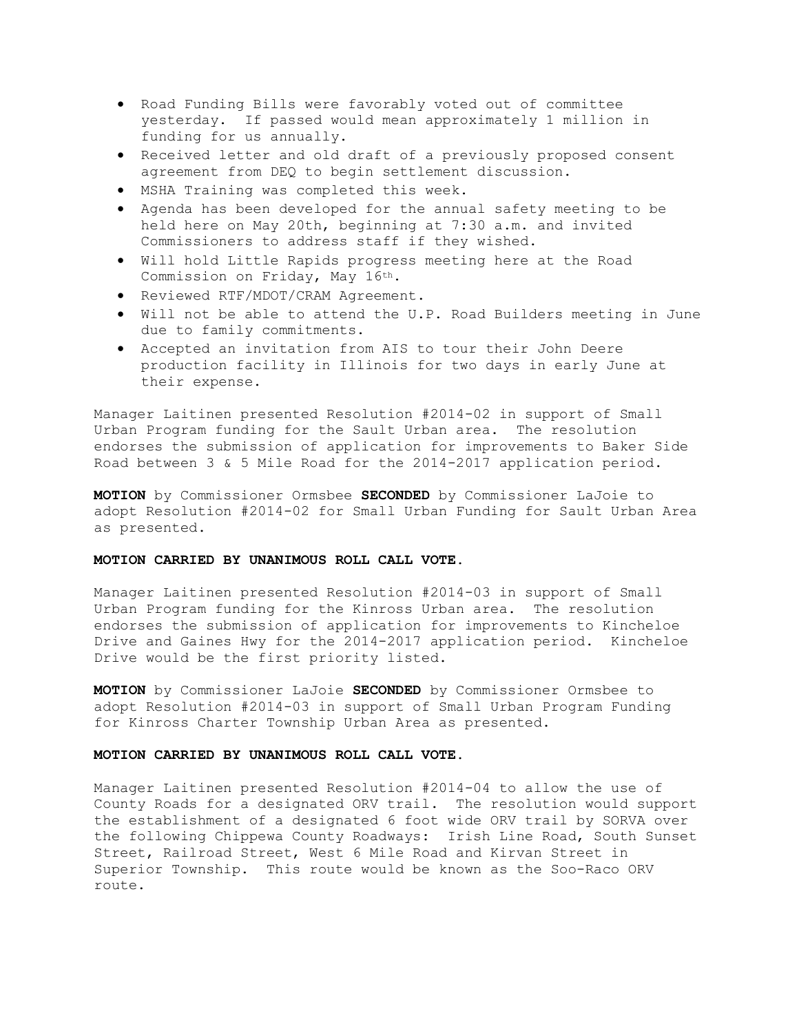- · Road Funding Bills were favorably voted out of committee yesterday. If passed would mean approximately 1 million in funding for us annually.
- · Received letter and old draft of a previously proposed consent agreement from DEQ to begin settlement discussion.
- · MSHA Training was completed this week.
- · Agenda has been developed for the annual safety meeting to be held here on May 20th, beginning at 7:30 a.m. and invited Commissioners to address staff if they wished.
- · Will hold Little Rapids progress meeting here at the Road Commission on Friday, May 16th.
- · Reviewed RTF/MDOT/CRAM Agreement.
- · Will not be able to attend the U.P. Road Builders meeting in June due to family commitments.
- · Accepted an invitation from AIS to tour their John Deere production facility in Illinois for two days in early June at their expense.

Manager Laitinen presented Resolution #2014-02 in support of Small Urban Program funding for the Sault Urban area. The resolution endorses the submission of application for improvements to Baker Side Road between 3 & 5 Mile Road for the 2014-2017 application period.

**MOTION** by Commissioner Ormsbee **SECONDED** by Commissioner LaJoie to adopt Resolution #2014-02 for Small Urban Funding for Sault Urban Area as presented.

# **MOTION CARRIED BY UNANIMOUS ROLL CALL VOTE.**

Manager Laitinen presented Resolution #2014-03 in support of Small Urban Program funding for the Kinross Urban area. The resolution endorses the submission of application for improvements to Kincheloe Drive and Gaines Hwy for the 2014-2017 application period. Kincheloe Drive would be the first priority listed.

**MOTION** by Commissioner LaJoie **SECONDED** by Commissioner Ormsbee to adopt Resolution #2014-03 in support of Small Urban Program Funding for Kinross Charter Township Urban Area as presented.

## **MOTION CARRIED BY UNANIMOUS ROLL CALL VOTE.**

Manager Laitinen presented Resolution #2014-04 to allow the use of County Roads for a designated ORV trail. The resolution would support the establishment of a designated 6 foot wide ORV trail by SORVA over the following Chippewa County Roadways: Irish Line Road, South Sunset Street, Railroad Street, West 6 Mile Road and Kirvan Street in Superior Township. This route would be known as the Soo-Raco ORV route.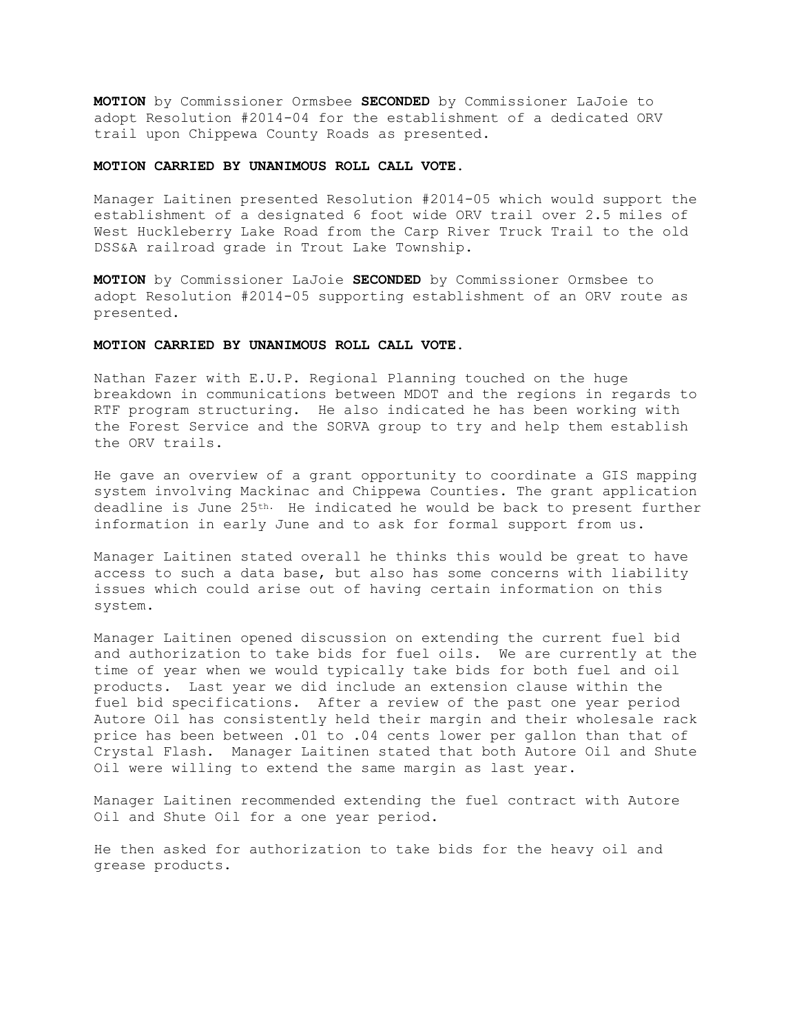**MOTION** by Commissioner Ormsbee **SECONDED** by Commissioner LaJoie to adopt Resolution #2014-04 for the establishment of a dedicated ORV trail upon Chippewa County Roads as presented.

## **MOTION CARRIED BY UNANIMOUS ROLL CALL VOTE.**

Manager Laitinen presented Resolution #2014-05 which would support the establishment of a designated 6 foot wide ORV trail over 2.5 miles of West Huckleberry Lake Road from the Carp River Truck Trail to the old DSS&A railroad grade in Trout Lake Township.

**MOTION** by Commissioner LaJoie **SECONDED** by Commissioner Ormsbee to adopt Resolution #2014-05 supporting establishment of an ORV route as presented.

## **MOTION CARRIED BY UNANIMOUS ROLL CALL VOTE.**

Nathan Fazer with E.U.P. Regional Planning touched on the huge breakdown in communications between MDOT and the regions in regards to RTF program structuring. He also indicated he has been working with the Forest Service and the SORVA group to try and help them establish the ORV trails.

He gave an overview of a grant opportunity to coordinate a GIS mapping system involving Mackinac and Chippewa Counties. The grant application deadline is June 25th. He indicated he would be back to present further information in early June and to ask for formal support from us.

Manager Laitinen stated overall he thinks this would be great to have access to such a data base, but also has some concerns with liability issues which could arise out of having certain information on this system.

Manager Laitinen opened discussion on extending the current fuel bid and authorization to take bids for fuel oils. We are currently at the time of year when we would typically take bids for both fuel and oil products. Last year we did include an extension clause within the fuel bid specifications. After a review of the past one year period Autore Oil has consistently held their margin and their wholesale rack price has been between .01 to .04 cents lower per gallon than that of Crystal Flash. Manager Laitinen stated that both Autore Oil and Shute Oil were willing to extend the same margin as last year.

Manager Laitinen recommended extending the fuel contract with Autore Oil and Shute Oil for a one year period.

He then asked for authorization to take bids for the heavy oil and grease products.